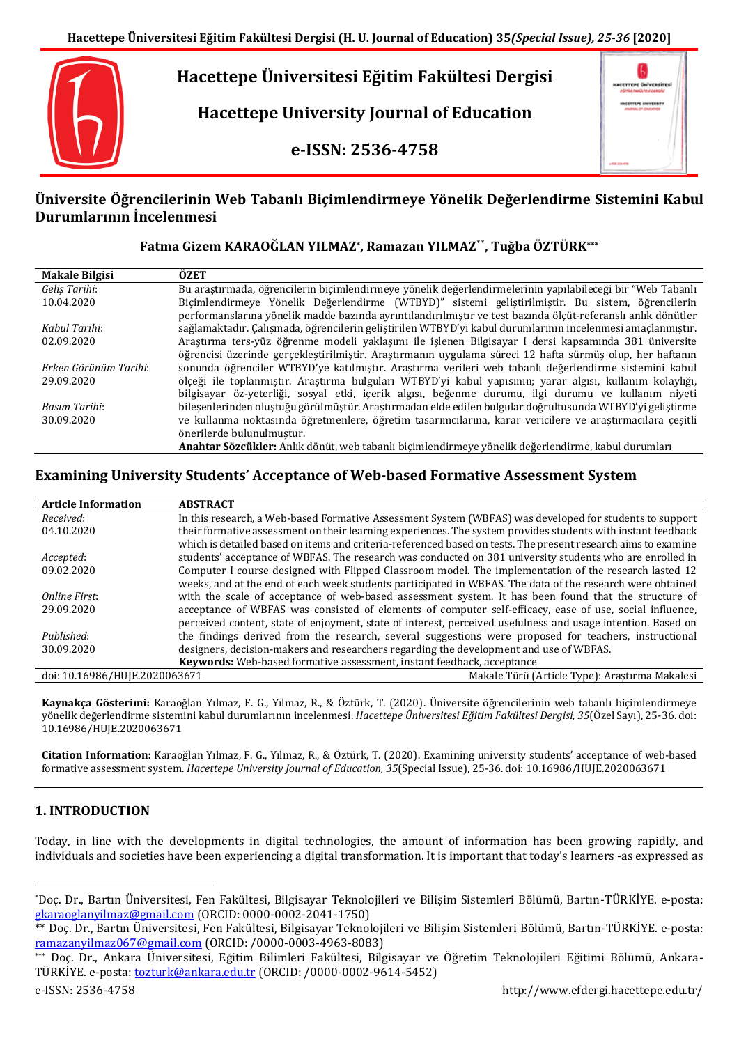

# **Üniversite Öğrencilerinin Web Tabanlı Biçimlendirmeye Yönelik Değerlendirme Sistemini Kabul Durumlarının İncelenmesi**

### **Fatma Gizem KARAOĞLAN YILMAZ\* , Ramazan YILMAZ**\*\* **, Tuğba ÖZTÜRK\*\*\***

| <b>Makale Bilgisi</b> | ÖZET                                                                                                         |
|-----------------------|--------------------------------------------------------------------------------------------------------------|
| Gelis Tarihi:         | Bu arastırmada, öğrencilerin bicimlendirmeye yönelik değerlendirmelerinin yapılabileceği bir "Web Tabanlı    |
| 10.04.2020            | Biçimlendirmeye Yönelik Değerlendirme (WTBYD)" sistemi geliştirilmiştir. Bu sistem, öğrencilerin             |
|                       | performanslarına yönelik madde bazında ayrıntılandırılmıştır ve test bazında ölçüt-referanslı anlık dönütler |
| Kabul Tarihi:         | sağlamaktadır. Çalışmada, öğrencilerin geliştirilen WTBYD'yi kabul durumlarının incelenmesi amaçlanmıştır.   |
| 02.09.2020            | Araştırma ters-yüz öğrenme modeli yaklaşımı ile işlenen Bilgisayar I dersi kapsamında 381 üniversite         |
|                       | öğrencisi üzerinde gerçekleştirilmiştir. Araştırmanın uygulama süreci 12 hafta sürmüş olup, her haftanın     |
| Erken Görünüm Tarihi: | sonunda öğrenciler WTBYD'ye katılmıştır. Arastırma verileri web tabanlı değerlendirme sistemini kabul        |
| 29.09.2020            | ölçeği ile toplanmıştır. Araştırma bulguları WTBYD'yi kabul yapısının; yarar algısı, kullanım kolaylığı,     |
|                       | bilgisayar öz-yeterliği, sosyal etki, içerik algısı, beğenme durumu, ilgi durumu ve kullanım niyeti          |
| Basım Tarihi:         | bilesenlerinden olustuğu görülmüstür. Arastırmadan elde edilen bulgular doğrultusunda WTBYD'yi gelistirme    |
| 30.09.2020            | ve kullanma noktasında öğretmenlere, öğretim tasarımcılarına, karar vericilere ve araştırmacılara çeşitli    |
|                       | önerilerde bulunulmustur.                                                                                    |
|                       | Anahtar Sözcükler: Anlık dönüt, web tabanlı biçimlendirmeye yönelik değerlendirme, kabul durumları           |

# **Examining University Students' Acceptance of Web-based Formative Assessment System**

| <b>Article Information</b>    | <b>ABSTRACT</b>                                                                                               |
|-------------------------------|---------------------------------------------------------------------------------------------------------------|
| Received:                     | In this research, a Web-based Formative Assessment System (WBFAS) was developed for students to support       |
| 04.10.2020                    | their formative assessment on their learning experiences. The system provides students with instant feedback  |
|                               | which is detailed based on items and criteria-referenced based on tests. The present research aims to examine |
| Accepted:                     | students' acceptance of WBFAS. The research was conducted on 381 university students who are enrolled in      |
| 09.02.2020                    | Computer I course designed with Flipped Classroom model. The implementation of the research lasted 12         |
|                               | weeks, and at the end of each week students participated in WBFAS. The data of the research were obtained     |
| Online First:                 | with the scale of acceptance of web-based assessment system. It has been found that the structure of          |
| 29.09.2020                    | acceptance of WBFAS was consisted of elements of computer self-efficacy, ease of use, social influence,       |
|                               | perceived content, state of enjoyment, state of interest, perceived usefulness and usage intention. Based on  |
| Published:                    | the findings derived from the research, several suggestions were proposed for teachers, instructional         |
| 30.09.2020                    | designers, decision-makers and researchers regarding the development and use of WBFAS.                        |
|                               | Keywords: Web-based formative assessment, instant feedback, acceptance                                        |
| doi: 10.16986/HUJE.2020063671 | Makale Türü (Article Type): Araştırma Makalesi                                                                |

**Kaynakça Gösterimi:** Karaoğlan Yılmaz, F. G., Yılmaz, R., & Öztürk, T. (2020). Üniversite öğrencilerinin web tabanlı biçimlendirmeye yönelik değerlendirme sistemini kabul durumlarının incelenmesi. *Hacettepe Üniversitesi Eğitim Fakültesi Dergisi, 35*(Özel Sayı), 25-36. doi: 10.16986/HUJE.2020063671

**Citation Information:** Karaoğlan Yılmaz, F. G., Yılmaz, R., & Öztürk, T. (2020). Examining university students' acceptance of web-based formative assessment system. *Hacettepe University Journal of Education, 35*(Special Issue), 25-36. doi: 10.16986/HUJE.2020063671

# **1. INTRODUCTION**

Today, in line with the developments in digital technologies, the amount of information has been growing rapidly, and individuals and societies have been experiencing a digital transformation. It is important that today's learners -as expressed as

 $\overline{a}$ 

<sup>\*</sup>Doç. Dr., Bartın Üniversitesi, Fen Fakültesi, Bilgisayar Teknolojileri ve Bilişim Sistemleri Bölümü, Bartın-TÜRKİYE. e-posta: [gkaraoglanyilmaz@gmail.com](mailto:gkaraoglanyilmaz@gmail.com) (ORCID: 0000-0002-2041-1750)

<sup>\*\*</sup> Doç. Dr., Bartın Üniversitesi, Fen Fakültesi, Bilgisayar Teknolojileri ve Bilişim Sistemleri Bölümü, Bartın-TÜRKİYE. e-posta: [ramazanyilmaz067@gmail.com](mailto:ramazanyilmaz067@gmail.com) (ORCID: /0000-0003-4963-8083)

Doc. Dr., Ankara Üniversitesi, Eğitim Bilimleri Fakültesi, Bilgisayar ve Öğretim Teknolojileri Eğitimi Bölümü, Ankara-TÜRKİYE. e-posta[: tozturk@ankara.edu.tr](mailto:tozturk@ankara.edu.tr) (ORCID: /0000-0002-9614-5452)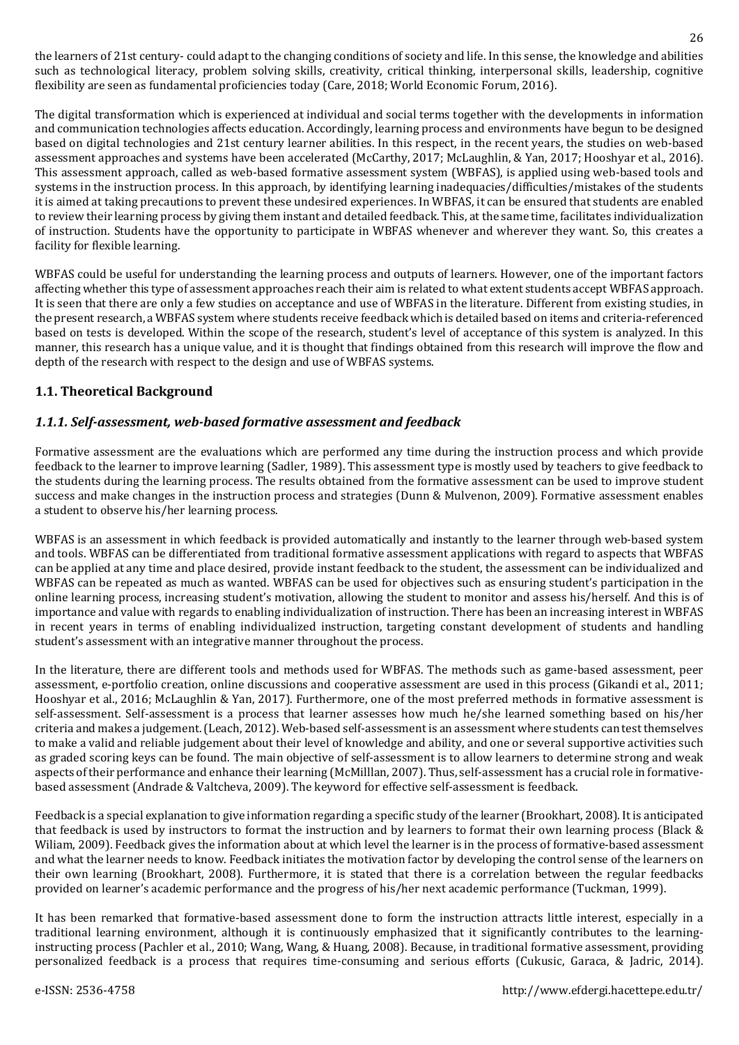the learners of 21st century- could adapt to the changing conditions of society and life. In this sense, the knowledge and abilities such as technological literacy, problem solving skills, creativity, critical thinking, interpersonal skills, leadership, cognitive flexibility are seen as fundamental proficiencies today (Care, 2018; World Economic Forum, 2016).

The digital transformation which is experienced at individual and social terms together with the developments in information and communication technologies affects education. Accordingly, learning process and environments have begun to be designed based on digital technologies and 21st century learner abilities. In this respect, in the recent years, the studies on web-based assessment approaches and systems have been accelerated (McCarthy, 2017; McLaughlin, & Yan, 2017; Hooshyar et al., 2016). This assessment approach, called as web-based formative assessment system (WBFAS), is applied using web-based tools and systems in the instruction process. In this approach, by identifying learning inadequacies/difficulties/mistakes of the students it is aimed at taking precautions to prevent these undesired experiences. In WBFAS, it can be ensured that students are enabled to review their learning process by giving them instant and detailed feedback. This, at the same time, facilitates individualization of instruction. Students have the opportunity to participate in WBFAS whenever and wherever they want. So, this creates a facility for flexible learning.

WBFAS could be useful for understanding the learning process and outputs of learners. However, one of the important factors affecting whether this type of assessment approaches reach their aim is related to what extent students accept WBFAS approach. It is seen that there are only a few studies on acceptance and use of WBFAS in the literature. Different from existing studies, in the present research, a WBFAS system where students receive feedback which is detailed based on items and criteria-referenced based on tests is developed. Within the scope of the research, student's level of acceptance of this system is analyzed. In this manner, this research has a unique value, and it is thought that findings obtained from this research will improve the flow and depth of the research with respect to the design and use of WBFAS systems.

# **1.1. Theoretical Background**

# *1.1.1. Self-assessment, web-based formative assessment and feedback*

Formative assessment are the evaluations which are performed any time during the instruction process and which provide feedback to the learner to improve learning (Sadler, 1989). This assessment type is mostly used by teachers to give feedback to the students during the learning process. The results obtained from the formative assessment can be used to improve student success and make changes in the instruction process and strategies (Dunn & Mulvenon, 2009). Formative assessment enables a student to observe his/her learning process.

WBFAS is an assessment in which feedback is provided automatically and instantly to the learner through web-based system and tools. WBFAS can be differentiated from traditional formative assessment applications with regard to aspects that WBFAS can be applied at any time and place desired, provide instant feedback to the student, the assessment can be individualized and WBFAS can be repeated as much as wanted. WBFAS can be used for objectives such as ensuring student's participation in the online learning process, increasing student's motivation, allowing the student to monitor and assess his/herself. And this is of importance and value with regards to enabling individualization of instruction. There has been an increasing interest in WBFAS in recent years in terms of enabling individualized instruction, targeting constant development of students and handling student's assessment with an integrative manner throughout the process.

In the literature, there are different tools and methods used for WBFAS. The methods such as game-based assessment, peer assessment, e-portfolio creation, online discussions and cooperative assessment are used in this process (Gikandi et al., 2011; Hooshyar et al., 2016; McLaughlin & Yan, 2017). Furthermore, one of the most preferred methods in formative assessment is self-assessment. Self-assessment is a process that learner assesses how much he/she learned something based on his/her criteria and makes a judgement.(Leach, 2012). Web-based self-assessment is an assessment where students can test themselves to make a valid and reliable judgement about their level of knowledge and ability, and one or several supportive activities such as graded scoring keys can be found. The main objective of self-assessment is to allow learners to determine strong and weak aspects of their performance and enhance their learning (McMilllan, 2007). Thus, self-assessment has a crucial role in formativebased assessment (Andrade & Valtcheva, 2009). The keyword for effective self-assessment is feedback.

Feedback is a special explanation to give information regarding a specific study ofthe learner (Brookhart, 2008). It is anticipated that feedback is used by instructors to format the instruction and by learners to format their own learning process (Black & Wiliam, 2009). Feedback gives the information about at which level the learner is in the process of formative-based assessment and what the learner needs to know. Feedback initiates the motivation factor by developing the control sense of the learners on their own learning (Brookhart, 2008). Furthermore, it is stated that there is a correlation between the regular feedbacks provided on learner's academic performance and the progress of his/her next academic performance (Tuckman, 1999).

It has been remarked that formative-based assessment done to form the instruction attracts little interest, especially in a traditional learning environment, although it is continuously emphasized that it significantly contributes to the learninginstructing process (Pachler et al., 2010; Wang, Wang, & Huang, 2008). Because, in traditional formative assessment, providing personalized feedback is a process that requires time-consuming and serious efforts (Cukusic, Garaca, & Jadric, 2014).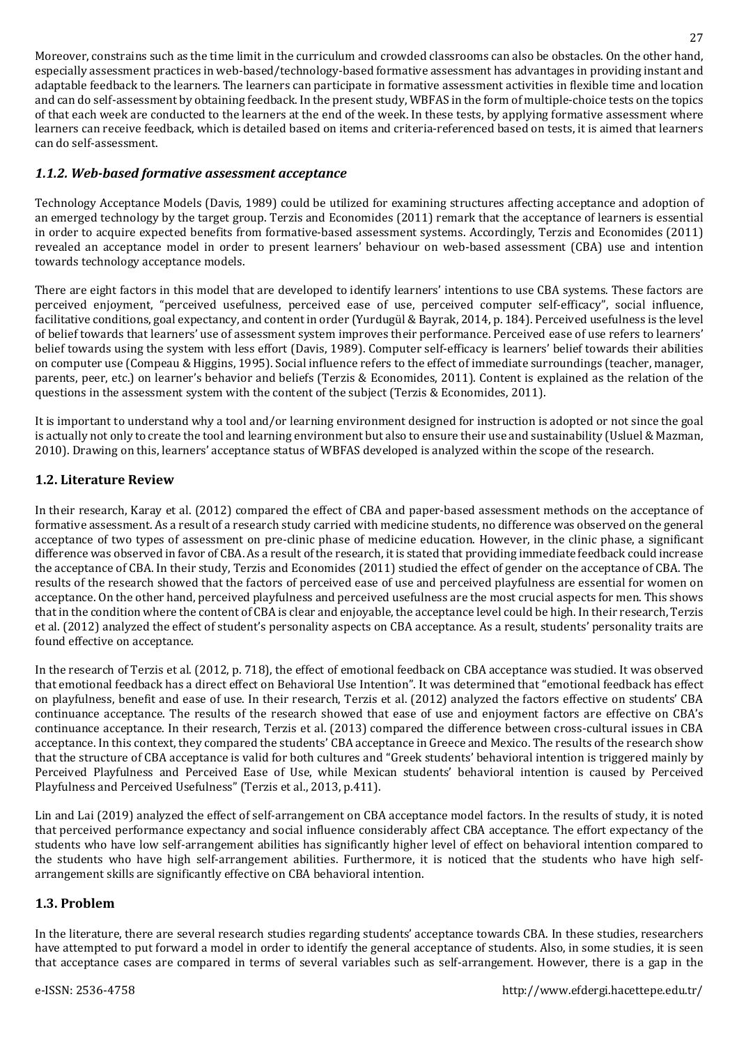Moreover, constrains such as the time limit in the curriculum and crowded classrooms can also be obstacles. On the other hand, especially assessment practices in web-based/technology-based formative assessment has advantages in providing instant and adaptable feedback to the learners. The learners can participate in formative assessment activities in flexible time and location and can do self-assessment by obtaining feedback. In the present study, WBFAS in the form of multiple-choice tests on the topics of that each week are conducted to the learners at the end of the week. In these tests, by applying formative assessment where learners can receive feedback, which is detailed based on items and criteria-referenced based on tests, it is aimed that learners can do self-assessment.

### *1.1.2. Web-based formative assessment acceptance*

Technology Acceptance Models (Davis, 1989) could be utilized for examining structures affecting acceptance and adoption of an emerged technology by the target group. Terzis and Economides (2011) remark that the acceptance of learners is essential in order to acquire expected benefits from formative-based assessment systems. Accordingly, Terzis and Economides (2011) revealed an acceptance model in order to present learners' behaviour on web-based assessment (CBA) use and intention towards technology acceptance models.

There are eight factors in this model that are developed to identify learners' intentions to use CBA systems. These factors are perceived enjoyment, "perceived usefulness, perceived ease of use, perceived computer self-efficacy", social influence, facilitative conditions, goal expectancy, and content in order (Yurdugül & Bayrak, 2014, p. 184). Perceived usefulness is the level of belief towards that learners' use of assessment system improves their performance. Perceived ease of use refers to learners' belief towards using the system with less effort (Davis, 1989). Computer self-efficacy is learners' belief towards their abilities on computer use (Compeau & Higgins, 1995). Social influence refers to the effect of immediate surroundings (teacher, manager, parents, peer, etc.) on learner's behavior and beliefs (Terzis & Economides, 2011). Content is explained as the relation of the questions in the assessment system with the content of the subject (Terzis & Economides, 2011).

It is important to understand why a tool and/or learning environment designed for instruction is adopted or not since the goal is actually not only to create the tool and learning environment but also to ensure their use and sustainability (Usluel & Mazman, 2010). Drawing on this, learners' acceptance status of WBFAS developed is analyzed within the scope of the research.

# **1.2. Literature Review**

In their research, Karay et al. (2012) compared the effect of CBA and paper-based assessment methods on the acceptance of formative assessment. As a result of a research study carried with medicine students, no difference was observed on the general acceptance of two types of assessment on pre-clinic phase of medicine education. However, in the clinic phase, a significant difference was observed in favor of CBA. As a result of the research, it is stated that providing immediate feedback could increase the acceptance of CBA. In their study, Terzis and Economides (2011) studied the effect of gender on the acceptance of CBA. The results of the research showed that the factors of perceived ease of use and perceived playfulness are essential for women on acceptance. On the other hand, perceived playfulness and perceived usefulness are the most crucial aspects for men. This shows that in the condition where the content of CBA is clear and enjoyable, the acceptance level could be high. In their research, Terzis et al. (2012) analyzed the effect of student's personality aspects on CBA acceptance. As a result, students' personality traits are found effective on acceptance.

In the research of Terzis et al. (2012, p. 718), the effect of emotional feedback on CBA acceptance was studied. It was observed that emotional feedback has a direct effect on Behavioral Use Intention". It was determined that "emotional feedback has effect on playfulness, benefit and ease of use. In their research, Terzis et al. (2012) analyzed the factors effective on students' CBA continuance acceptance. The results of the research showed that ease of use and enjoyment factors are effective on CBA's continuance acceptance. In their research, Terzis et al. (2013) compared the difference between cross-cultural issues in CBA acceptance. In this context, they compared the students' CBA acceptance in Greece and Mexico. The results of the research show that the structure of CBA acceptance is valid for both cultures and "Greek students' behavioral intention is triggered mainly by Perceived Playfulness and Perceived Ease of Use, while Mexican students' behavioral intention is caused by Perceived Playfulness and Perceived Usefulness" (Terzis et al., 2013, p.411).

Lin and Lai (2019) analyzed the effect of self-arrangement on CBA acceptance model factors. In the results of study, it is noted that perceived performance expectancy and social influence considerably affect CBA acceptance. The effort expectancy of the students who have low self-arrangement abilities has significantly higher level of effect on behavioral intention compared to the students who have high self-arrangement abilities. Furthermore, it is noticed that the students who have high selfarrangement skills are significantly effective on CBA behavioral intention.

# **1.3. Problem**

In the literature, there are several research studies regarding students' acceptance towards CBA. In these studies, researchers have attempted to put forward a model in order to identify the general acceptance of students. Also, in some studies, it is seen that acceptance cases are compared in terms of several variables such as self-arrangement. However, there is a gap in the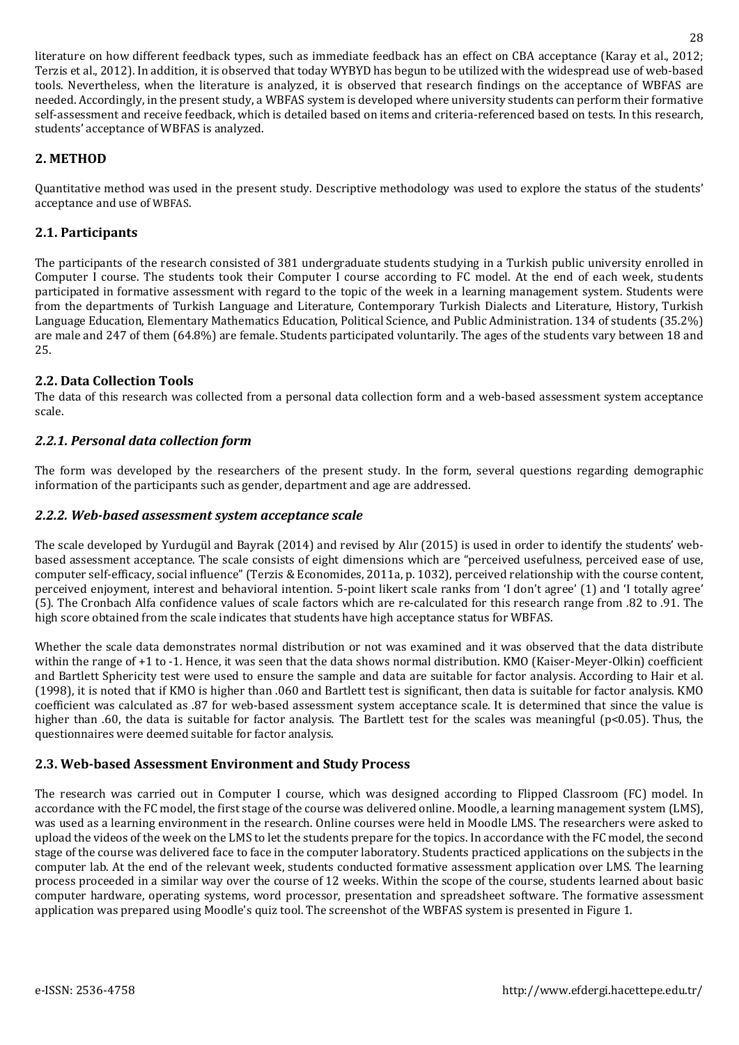literature on how different feedback types, such as immediate feedback has an effect on CBA acceptance (Karay et al., 2012; Terzis et al., 2012). In addition, it is observed that today WYBYD has begun to be utilized with the widespread use of web-based tools. Nevertheless, when the literature is analyzed, it is observed that research findings on the acceptance of WBFAS are needed. Accordingly, in the present study, a WBFAS system is developed where university students can perform their formative self-assessment and receive feedback, which is detailed based on items and criteria-referenced based on tests. In this research, students' acceptance of WBFAS is analyzed.

### **2. METHOD**

Quantitative method was used in the present study. Descriptive methodology was used to explore the status of the students' acceptance and use of WBFAS.

### **2.1. Participants**

The participants of the research consisted of 381 undergraduate students studying in a Turkish public university enrolled in Computer I course. The students took their Computer I course according to FC model. At the end of each week, students participated in formative assessment with regard to the topic of the week in a learning management system. Students were from the departments of Turkish Language and Literature, Contemporary Turkish Dialects and Literature, History, Turkish Language Education, Elementary Mathematics Education, Political Science, and Public Administration. 134 of students (35.2%) are male and 247 of them (64.8%) are female. Students participated voluntarily. The ages of the students vary between 18 and 25.

### **2.2. Data Collection Tools**

The data of this research was collected from a personal data collection form and a web-based assessment system acceptance scale.

### *2.2.1. Personal data collection form*

The form was developed by the researchers of the present study. In the form, several questions regarding demographic information of the participants such as gender, department and age are addressed.

#### *2.2.2. Web-based assessment system acceptance scale*

The scale developed by Yurdugül and Bayrak (2014) and revised by Alır (2015) is used in order to identify the students' webbased assessment acceptance. The scale consists of eight dimensions which are "perceived usefulness, perceived ease of use, computer self-efficacy, social influence" (Terzis & Economides, 2011a, p. 1032), perceived relationship with the course content, perceived enjoyment, interest and behavioral intention. 5-point likert scale ranks from 'I don't agree' (1) and 'I totally agree' (5). The Cronbach Alfa confidence values of scale factors which are re-calculated for this research range from .82 to .91. The high score obtained from the scale indicates that students have high acceptance status for WBFAS.

Whether the scale data demonstrates normal distribution or not was examined and it was observed that the data distribute within the range of +1 to -1. Hence, it was seen that the data shows normal distribution. KMO (Kaiser-Meyer-Olkin) coefficient and Bartlett Sphericity test were used to ensure the sample and data are suitable for factor analysis. According to Hair et al. (1998), it is noted that if KMO is higher than .060 and Bartlett test is significant, then data is suitable for factor analysis. KMO coefficient was calculated as .87 for web-based assessment system acceptance scale. It is determined that since the value is higher than .60, the data is suitable for factor analysis. The Bartlett test for the scales was meaningful (p<0.05). Thus, the questionnaires were deemed suitable for factor analysis.

### **2.3. Web-based Assessment Environment and Study Process**

The research was carried out in Computer I course, which was designed according to Flipped Classroom (FC) model. In accordance with the FC model, the first stage of the course was delivered online. Moodle, a learning management system (LMS), was used as a learning environment in the research. Online courses were held in Moodle LMS. The researchers were asked to upload the videos of the week on the LMS to let the students prepare for the topics. In accordance with the FC model, the second stage of the course was delivered face to face in the computer laboratory. Students practiced applications on the subjects in the computer lab. At the end of the relevant week, students conducted formative assessment application over LMS. The learning process proceeded in a similar way over the course of 12 weeks. Within the scope of the course, students learned about basic computer hardware, operating systems, word processor, presentation and spreadsheet software. The formative assessment application was prepared using Moodle's quiz tool. The screenshot of the WBFAS system is presented in Figure 1.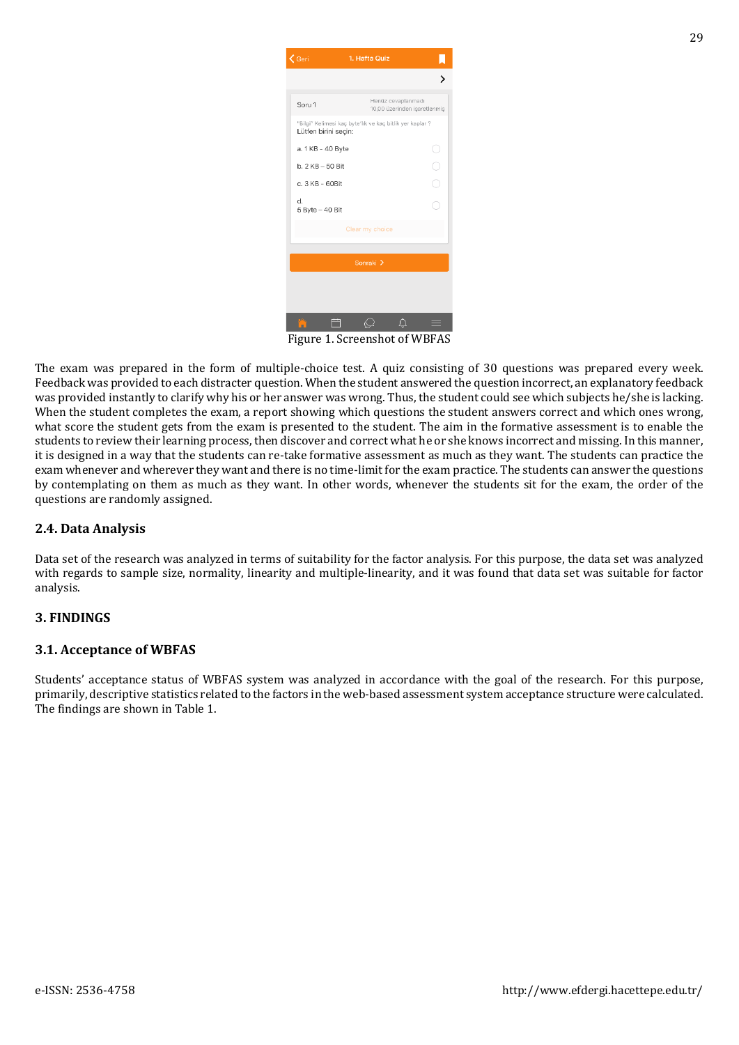| <b>く</b> Geri                                                                    | 1. Hafta Quiz                                      |  |  |  |  |  |
|----------------------------------------------------------------------------------|----------------------------------------------------|--|--|--|--|--|
|                                                                                  |                                                    |  |  |  |  |  |
| Soru 1                                                                           | Henüz cevaplanmadı<br>10,00 üzerinden işaretlenmiş |  |  |  |  |  |
| "Bilgi" Kelimesi kaç byte'lık ve kaç bitlik yer kaplar ?<br>Lütfen birini seçin: |                                                    |  |  |  |  |  |
| a. 1 KB - 40 Byte                                                                | J.                                                 |  |  |  |  |  |
| b. 2 KB - 50 Bit                                                                 | $\frac{1}{2}$                                      |  |  |  |  |  |
| c. 3 KB - 60Bit                                                                  |                                                    |  |  |  |  |  |
| d.<br>5 Byte - 40 Bit                                                            |                                                    |  |  |  |  |  |
| Clear my choice                                                                  |                                                    |  |  |  |  |  |
|                                                                                  |                                                    |  |  |  |  |  |
|                                                                                  | Sonraki >                                          |  |  |  |  |  |
|                                                                                  |                                                    |  |  |  |  |  |
|                                                                                  |                                                    |  |  |  |  |  |
|                                                                                  |                                                    |  |  |  |  |  |

Figure 1. Screenshot of WBFAS

The exam was prepared in the form of multiple-choice test. A quiz consisting of 30 questions was prepared every week. Feedback was provided to each distracter question. When the student answered the question incorrect, an explanatory feedback was provided instantly to clarify why his or her answer was wrong. Thus, the student could see which subjects he/she is lacking. When the student completes the exam, a report showing which questions the student answers correct and which ones wrong, what score the student gets from the exam is presented to the student. The aim in the formative assessment is to enable the students to review their learning process, then discover and correct what he or she knows incorrect and missing. In this manner, it is designed in a way that the students can re-take formative assessment as much as they want. The students can practice the exam whenever and wherever they want and there is no time-limit for the exam practice. The students can answer the questions by contemplating on them as much as they want. In other words, whenever the students sit for the exam, the order of the questions are randomly assigned.

### **2.4. Data Analysis**

Data set of the research was analyzed in terms of suitability for the factor analysis. For this purpose, the data set was analyzed with regards to sample size, normality, linearity and multiple-linearity, and it was found that data set was suitable for factor analysis.

### **3. FINDINGS**

### **3.1. Acceptance of WBFAS**

Students' acceptance status of WBFAS system was analyzed in accordance with the goal of the research. For this purpose, primarily, descriptive statistics related to the factors in the web-based assessment system acceptance structure were calculated. The findings are shown in Table 1.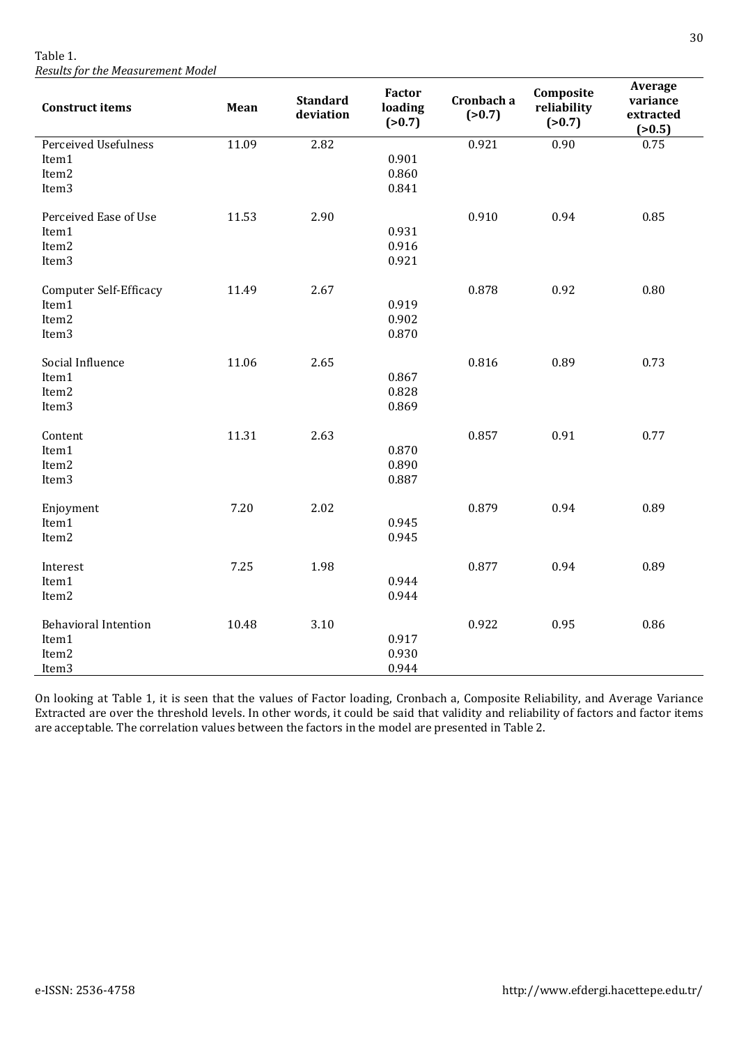Table 1. *Results for the Measurement Model*

| <b>Construct items</b>                                               | Mean  | <b>Standard</b><br>deviation | <b>Factor</b><br>loading<br>(>0.7) | Cronbach a<br>(>0.7) | Composite<br>reliability<br>(>0.7) | Average<br>variance<br>extracted<br>(>0.5) |
|----------------------------------------------------------------------|-------|------------------------------|------------------------------------|----------------------|------------------------------------|--------------------------------------------|
| Perceived Usefulness<br>Item1<br>Item2<br>Item <sub>3</sub>          | 11.09 | 2.82                         | 0.901<br>0.860<br>0.841            | 0.921                | 0.90                               | 0.75                                       |
| Perceived Ease of Use<br>Item1<br>Item2<br>Item <sub>3</sub>         | 11.53 | 2.90                         | 0.931<br>0.916<br>0.921            | 0.910                | 0.94                               | 0.85                                       |
| <b>Computer Self-Efficacy</b><br>Item1<br>Item2<br>Item <sub>3</sub> | 11.49 | 2.67                         | 0.919<br>0.902<br>0.870            | 0.878                | 0.92                               | 0.80                                       |
| Social Influence<br>Item1<br>Item2<br>Item <sub>3</sub>              | 11.06 | 2.65                         | 0.867<br>0.828<br>0.869            | 0.816                | 0.89                               | 0.73                                       |
| Content<br>Item1<br>Item2<br>Item <sub>3</sub>                       | 11.31 | 2.63                         | 0.870<br>0.890<br>0.887            | 0.857                | 0.91                               | 0.77                                       |
| Enjoyment<br>Item1<br>Item2                                          | 7.20  | 2.02                         | 0.945<br>0.945                     | 0.879                | 0.94                               | 0.89                                       |
| Interest<br>Item1<br>Item2                                           | 7.25  | 1.98                         | 0.944<br>0.944                     | 0.877                | 0.94                               | 0.89                                       |
| <b>Behavioral Intention</b><br>Item1<br>Item2<br>Item <sub>3</sub>   | 10.48 | 3.10                         | 0.917<br>0.930<br>0.944            | 0.922                | 0.95                               | 0.86                                       |

On looking at Table 1, it is seen that the values of Factor loading, Cronbach a, Composite Reliability, and Average Variance Extracted are over the threshold levels. In other words, it could be said that validity and reliability of factors and factor items are acceptable. The correlation values between the factors in the model are presented in Table 2.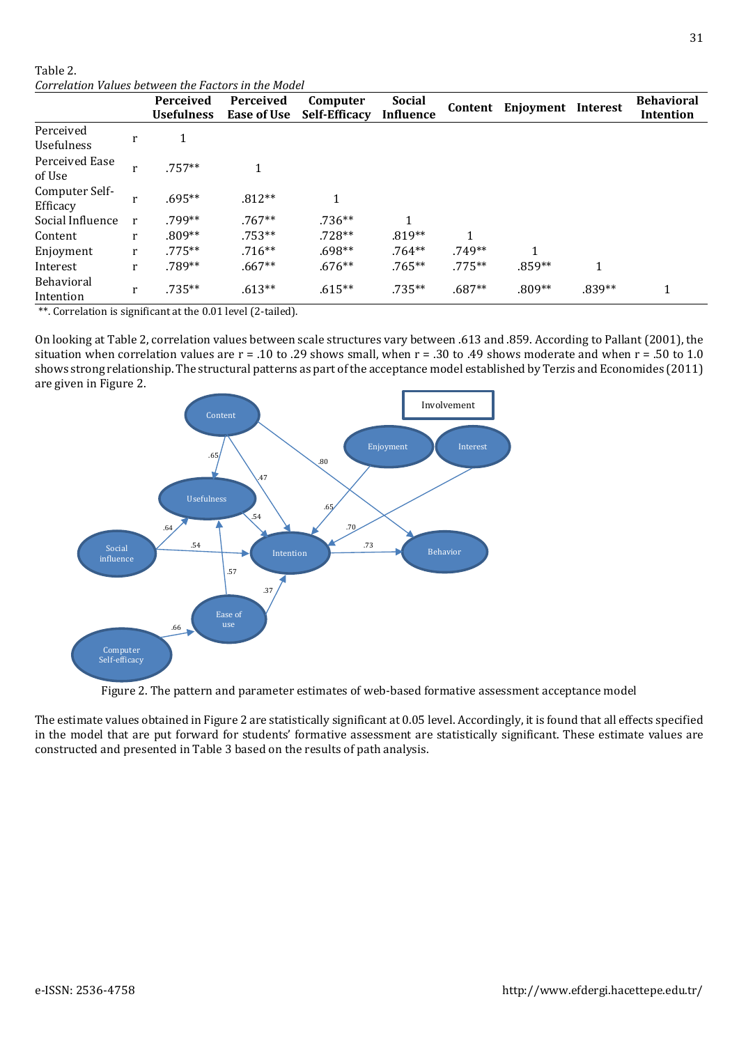#### Table 2. *Correlation Values between the Factors in the Model*

|                            |   | Perceived<br><b>Usefulness</b> | <b>Perceived</b><br>Ease of Use | Computer<br><b>Self-Efficacy</b> | <b>Social</b><br><b>Influence</b> | Content      | Enjoyment Interest |        | <b>Behavioral</b><br>Intention |
|----------------------------|---|--------------------------------|---------------------------------|----------------------------------|-----------------------------------|--------------|--------------------|--------|--------------------------------|
| Perceived<br>Usefulness    | r |                                |                                 |                                  |                                   |              |                    |        |                                |
| Perceived Ease<br>of Use   |   | $.757**$                       |                                 |                                  |                                   |              |                    |        |                                |
| Computer Self-<br>Efficacy |   | $.695**$                       | $.812**$                        | 1                                |                                   |              |                    |        |                                |
| Social Influence           | r | .799**                         | $.767**$                        | $.736**$                         | 1                                 |              |                    |        |                                |
| Content                    | r | $.809**$                       | $.753**$                        | $.728**$                         | $.819**$                          | $\mathbf{1}$ |                    |        |                                |
| Enjoyment                  | r | $.775***$                      | $.716**$                        | $.698**$                         | $.764**$                          | $.749**$     | 1                  |        |                                |
| Interest                   | r | .789**                         | $.667**$                        | $.676**$                         | $.765**$                          | $.775**$     | .859**             | 1      |                                |
| Behavioral<br>Intention    | r | .735**                         | $.613**$                        | $.615**$                         | $.735**$                          | $.687**$     | $.809**$           | .839** | 1                              |

\*\*. Correlation is significant at the 0.01 level (2-tailed).

On looking at Table 2, correlation values between scale structures vary between .613 and .859. According to Pallant (2001), the situation when correlation values are  $r = .10$  to .29 shows small, when  $r = .30$  to .49 shows moderate and when  $r = .50$  to 1.0 shows strong relationship. The structural patterns as part of the acceptance model established by Terzis and Economides (2011) are given in Figure 2.



Figure 2. The pattern and parameter estimates of web-based formative assessment acceptance model

The estimate values obtained in Figure 2 are statistically significant at 0.05 level. Accordingly, it is found that all effects specified in the model that are put forward for students' formative assessment are statistically significant. These estimate values are constructed and presented in Table 3 based on the results of path analysis.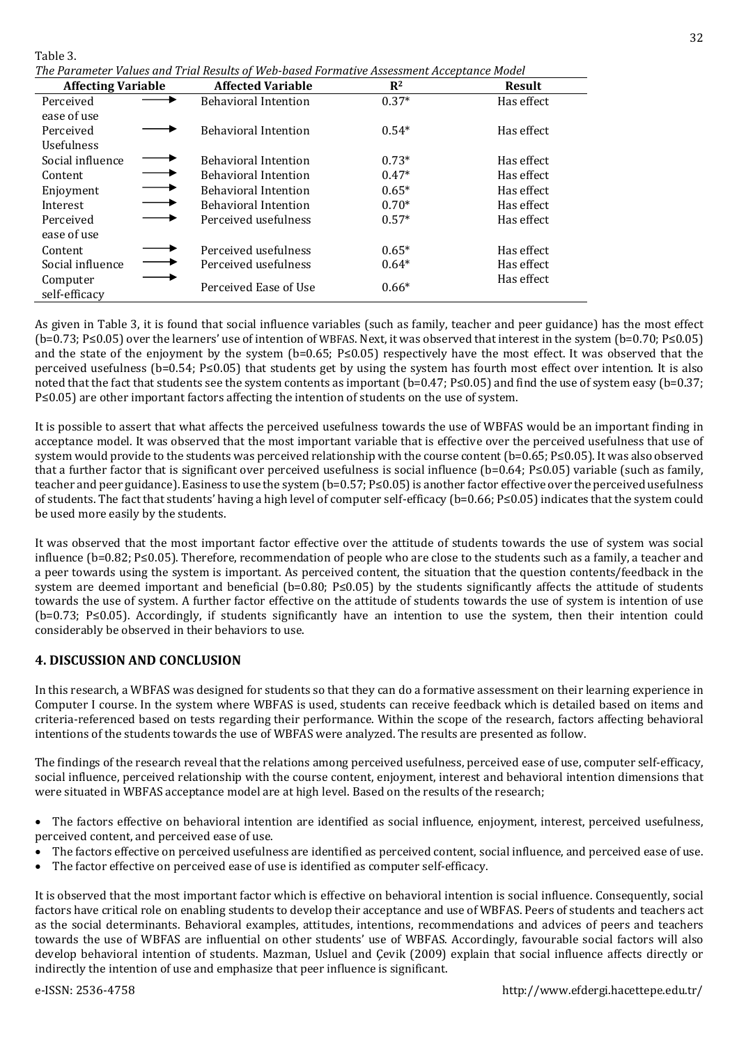| d. | n<br>ı |  |
|----|--------|--|
|    |        |  |

*The Parameter Values and Trial Results of Web-based Formative Assessment Acceptance Model*

| <b>Affecting Variable</b> |  | <b>Affected Variable</b>    | R <sup>2</sup> | <b>Result</b> |
|---------------------------|--|-----------------------------|----------------|---------------|
| Perceived                 |  | <b>Behavioral Intention</b> | $0.37*$        | Has effect    |
| ease of use               |  |                             |                |               |
| Perceived                 |  | <b>Behavioral Intention</b> | $0.54*$        | Has effect    |
| <b>Usefulness</b>         |  |                             |                |               |
| Social influence          |  | <b>Behavioral Intention</b> | $0.73*$        | Has effect    |
| Content                   |  | <b>Behavioral Intention</b> | $0.47*$        | Has effect    |
| Enjoyment                 |  | <b>Behavioral Intention</b> | $0.65*$        | Has effect    |
| Interest                  |  | <b>Behavioral Intention</b> | $0.70*$        | Has effect    |
| Perceived                 |  | Perceived usefulness        | $0.57*$        | Has effect    |
| ease of use               |  |                             |                |               |
| Content                   |  | Perceived usefulness        | $0.65*$        | Has effect    |
| Social influence          |  | Perceived usefulness        | $0.64*$        | Has effect    |
| Computer<br>self-efficacy |  | Perceived Ease of Use       | $0.66*$        | Has effect    |

As given in Table 3, it is found that social influence variables (such as family, teacher and peer guidance) has the most effect (b=0.73; P≤0.05) over the learners' use of intention of WBFAS. Next, it was observed that interest in the system (b=0.70; P≤0.05) and the state of the enjoyment by the system (b=0.65; P≤0.05) respectively have the most effect. It was observed that the perceived usefulness (b=0.54; P≤0.05) that students get by using the system has fourth most effect over intention. It is also noted that the fact that students see the system contents as important (b=0.47; P≤0.05) and find the use of system easy (b=0.37; P≤0.05) are other important factors affecting the intention of students on the use of system.

It is possible to assert that what affects the perceived usefulness towards the use of WBFAS would be an important finding in acceptance model. It was observed that the most important variable that is effective over the perceived usefulness that use of system would provide to the students was perceived relationship with the course content (b=0.65; P≤0.05). It was also observed that a further factor that is significant over perceived usefulness is social influence (b=0.64; P≤0.05) variable (such as family, teacher and peer guidance). Easiness to use the system (b=0.57; P≤0.05) is another factor effective over the perceived usefulness of students. The fact that students' having a high level of computer self-efficacy (b=0.66; P≤0.05) indicates that the system could be used more easily by the students.

It was observed that the most important factor effective over the attitude of students towards the use of system was social influence (b=0.82; P≤0.05). Therefore, recommendation of people who are close to the students such as a family, a teacher and a peer towards using the system is important. As perceived content, the situation that the question contents/feedback in the system are deemed important and beneficial (b=0.80; P≤0.05) by the students significantly affects the attitude of students towards the use of system. A further factor effective on the attitude of students towards the use of system is intention of use (b=0.73; P≤0.05). Accordingly, if students significantly have an intention to use the system, then their intention could considerably be observed in their behaviors to use.

# **4. DISCUSSION AND CONCLUSION**

In this research, a WBFAS was designed for students so that they can do a formative assessment on their learning experience in Computer I course. In the system where WBFAS is used, students can receive feedback which is detailed based on items and criteria-referenced based on tests regarding their performance. Within the scope of the research, factors affecting behavioral intentions of the students towards the use of WBFAS were analyzed. The results are presented as follow.

The findings of the research reveal that the relations among perceived usefulness, perceived ease of use, computer self-efficacy, social influence, perceived relationship with the course content, enjoyment, interest and behavioral intention dimensions that were situated in WBFAS acceptance model are at high level. Based on the results of the research;

- The factors effective on behavioral intention are identified as social influence, enjoyment, interest, perceived usefulness, perceived content, and perceived ease of use.
- The factors effective on perceived usefulness are identified as perceived content, social influence, and perceived ease of use.
- The factor effective on perceived ease of use is identified as computer self-efficacy.

It is observed that the most important factor which is effective on behavioral intention is social influence. Consequently, social factors have critical role on enabling students to develop their acceptance and use of WBFAS. Peers of students and teachers act as the social determinants. Behavioral examples, attitudes, intentions, recommendations and advices of peers and teachers towards the use of WBFAS are influential on other students' use of WBFAS. Accordingly, favourable social factors will also develop behavioral intention of students. Mazman, Usluel and Çevik (2009) explain that social influence affects directly or indirectly the intention of use and emphasize that peer influence is significant.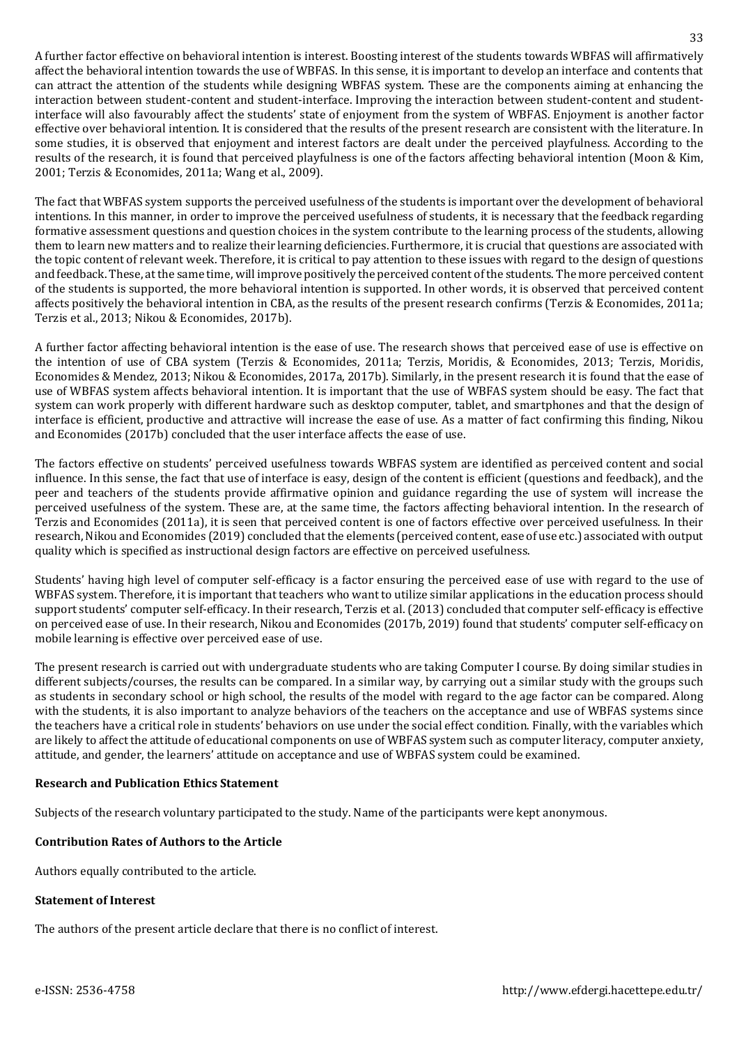A further factor effective on behavioral intention is interest. Boosting interest of the students towards WBFAS will affirmatively affect the behavioral intention towards the use of WBFAS. In this sense, it is important to develop an interface and contents that can attract the attention of the students while designing WBFAS system. These are the components aiming at enhancing the interaction between student-content and student-interface. Improving the interaction between student-content and studentinterface will also favourably affect the students' state of enjoyment from the system of WBFAS. Enjoyment is another factor effective over behavioral intention. It is considered that the results of the present research are consistent with the literature. In some studies, it is observed that enjoyment and interest factors are dealt under the perceived playfulness. According to the results of the research, it is found that perceived playfulness is one of the factors affecting behavioral intention (Moon & Kim, 2001; Terzis & Economides, 2011a; Wang et al., 2009).

The fact that WBFAS system supports the perceived usefulness of the students is important over the development of behavioral intentions. In this manner, in order to improve the perceived usefulness of students, it is necessary that the feedback regarding formative assessment questions and question choices in the system contribute to the learning process of the students, allowing them to learn new matters and to realize their learning deficiencies. Furthermore, it is crucial that questions are associated with the topic content of relevant week. Therefore, it is critical to pay attention to these issues with regard to the design of questions and feedback. These, atthe same time, will improve positively the perceived content of the students. The more perceived content of the students is supported, the more behavioral intention is supported. In other words, it is observed that perceived content affects positively the behavioral intention in CBA, as the results of the present research confirms (Terzis & Economides, 2011a; Terzis et al., 2013; Nikou & Economides, 2017b).

A further factor affecting behavioral intention is the ease of use. The research shows that perceived ease of use is effective on the intention of use of CBA system (Terzis & Economides, 2011a; Terzis, Moridis, & Economides, 2013; Terzis, Moridis, Economides & Mendez, 2013; Nikou & Economides, 2017a, 2017b). Similarly, in the present research it is found that the ease of use of WBFAS system affects behavioral intention. It is important that the use of WBFAS system should be easy. The fact that system can work properly with different hardware such as desktop computer, tablet, and smartphones and that the design of interface is efficient, productive and attractive will increase the ease of use. As a matter of fact confirming this finding, Nikou and Economides (2017b) concluded that the user interface affects the ease of use.

The factors effective on students' perceived usefulness towards WBFAS system are identified as perceived content and social influence. In this sense, the fact that use of interface is easy, design of the content is efficient (questions and feedback), and the peer and teachers of the students provide affirmative opinion and guidance regarding the use of system will increase the perceived usefulness of the system. These are, at the same time, the factors affecting behavioral intention. In the research of Terzis and Economides (2011a), it is seen that perceived content is one of factors effective over perceived usefulness. In their research, Nikou and Economides (2019) concluded that the elements (perceived content, ease of use etc.) associated with output quality which is specified as instructional design factors are effective on perceived usefulness.

Students' having high level of computer self-efficacy is a factor ensuring the perceived ease of use with regard to the use of WBFAS system. Therefore, it is important that teachers who want to utilize similar applications in the education process should support students' computer self-efficacy. In their research, Terzis et al. (2013) concluded that computer self-efficacy is effective on perceived ease of use. In their research, Nikou and Economides (2017b, 2019) found that students' computer self-efficacy on mobile learning is effective over perceived ease of use.

The present research is carried out with undergraduate students who are taking Computer I course. By doing similar studies in different subjects/courses, the results can be compared. In a similar way, by carrying out a similar study with the groups such as students in secondary school or high school, the results of the model with regard to the age factor can be compared. Along with the students, it is also important to analyze behaviors of the teachers on the acceptance and use of WBFAS systems since the teachers have a critical role in students' behaviors on use under the social effect condition. Finally, with the variables which are likely to affect the attitude of educational components on use of WBFAS system such as computer literacy, computer anxiety, attitude, and gender, the learners' attitude on acceptance and use of WBFAS system could be examined.

### **Research and Publication Ethics Statement**

Subjects of the research voluntary participated to the study. Name of the participants were kept anonymous.

### **Contribution Rates of Authors to the Article**

Authors equally contributed to the article.

#### **Statement of Interest**

The authors of the present article declare that there is no conflict of interest.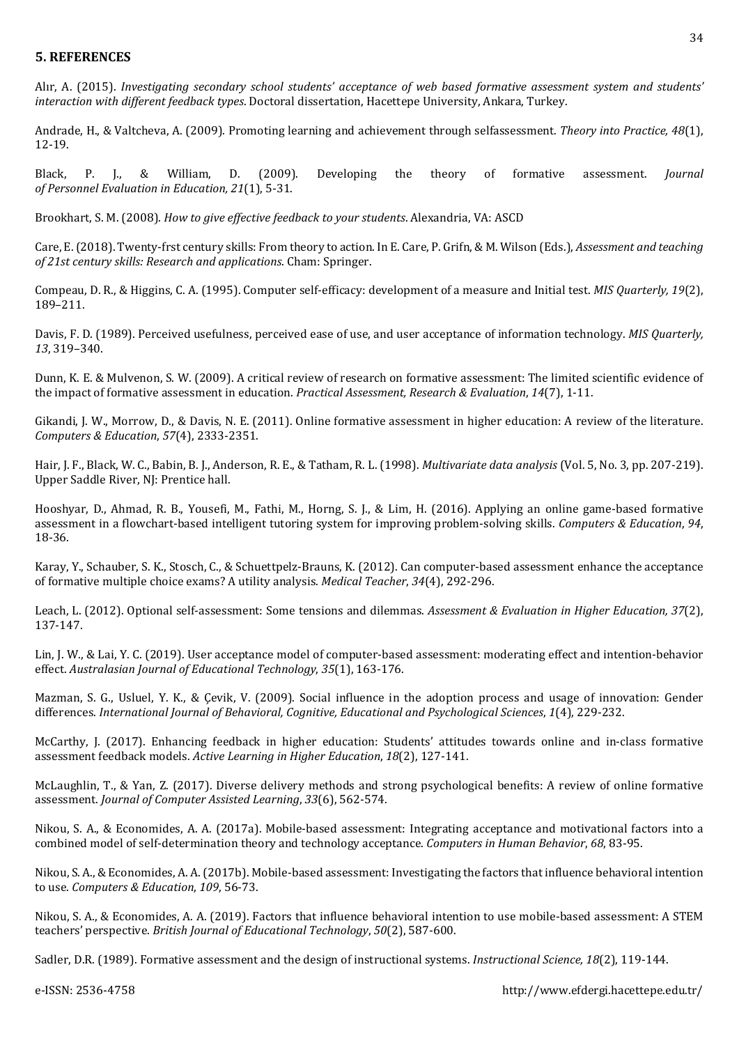### **5. REFERENCES**

Alır, A. (2015). *Investigating secondary school students' acceptance of web based formative assessment system and students' interaction with different feedback types*. Doctoral dissertation, Hacettepe University, Ankara, Turkey.

Andrade, H., & Valtcheva, A. (2009). Promoting learning and achievement through selfassessment. *Theory into Practice, 48*(1), 12-19.

Black, P. J., & William, D. (2009). Developing the theory of formative assessment. *Journal of Personnel Evaluation in Education, 21*(1), 5-31.

Brookhart, S. M. (2008). *How to give effective feedback to your students*. Alexandria, VA: ASCD

Care, E.(2018). Twenty-frst century skills: From theory to action. In E. Care, P. Grifn, & M. Wilson (Eds.), *Assessment and teaching of 21st century skills: Research and applications*. Cham: Springer.

Compeau, D. R., & Higgins, C. A. (1995). Computer self-efficacy: development of a measure and Initial test. *MIS Quarterly, 19*(2), 189–211.

Davis, F. D. (1989). Perceived usefulness, perceived ease of use, and user acceptance of information technology. *MIS Quarterly, 13*, 319–340.

Dunn, K. E. & Mulvenon, S. W. (2009). A critical review of research on formative assessment: The limited scientific evidence of the impact of formative assessment in education. *Practical Assessment, Research & Evaluation*, *14*(7), 1-11.

Gikandi, J. W., Morrow, D., & Davis, N. E. (2011). Online formative assessment in higher education: A review of the literature. *Computers & Education*, *57*(4), 2333-2351.

Hair, J. F., Black, W. C., Babin, B. J., Anderson, R. E., & Tatham, R. L. (1998). *Multivariate data analysis* (Vol. 5, No. 3, pp. 207-219). Upper Saddle River, NJ: Prentice hall.

Hooshyar, D., Ahmad, R. B., Yousefi, M., Fathi, M., Horng, S. J., & Lim, H. (2016). Applying an online game-based formative assessment in a flowchart-based intelligent tutoring system for improving problem-solving skills. *Computers & Education*, *94*, 18-36.

Karay, Y., Schauber, S. K., Stosch, C., & Schuettpelz-Brauns, K. (2012). Can computer-based assessment enhance the acceptance of formative multiple choice exams? A utility analysis. *Medical Teacher*, *34*(4), 292-296.

Leach, L. (2012). Optional self-assessment: Some tensions and dilemmas. *Assessment & Evaluation in Higher Education, 37*(2), 137-147.

Lin, J. W., & Lai, Y. C. (2019). User acceptance model of computer-based assessment: moderating effect and intention-behavior effect. *Australasian Journal of Educational Technology*, *35*(1), 163-176.

Mazman, S. G., Usluel, Y. K., & Çevik, V. (2009). Social influence in the adoption process and usage of innovation: Gender differences. *International Journal of Behavioral, Cognitive, Educational and Psychological Sciences*, *1*(4), 229-232.

McCarthy, J. (2017). Enhancing feedback in higher education: Students' attitudes towards online and in-class formative assessment feedback models. *Active Learning in Higher Education*, *18*(2), 127-141.

McLaughlin, T., & Yan, Z. (2017). Diverse delivery methods and strong psychological benefits: A review of online formative assessment. *Journal of Computer Assisted Learning*, *33*(6), 562-574.

Nikou, S. A., & Economides, A. A. (2017a). Mobile-based assessment: Integrating acceptance and motivational factors into a combined model of self-determination theory and technology acceptance. *Computers in Human Behavior*, *68*, 83-95.

Nikou, S. A., & Economides, A. A.(2017b). Mobile-based assessment: Investigating the factors that influence behavioral intention to use. *Computers & Education*, *109*, 56-73.

Nikou, S. A., & Economides, A. A. (2019). Factors that influence behavioral intention to use mobile‐based assessment: A STEM teachers' perspective. *British Journal of Educational Technology*, *50*(2), 587-600.

Sadler, D.R. (1989). Formative assessment and the design of instructional systems. *Instructional Science, 18*(2), 119-144.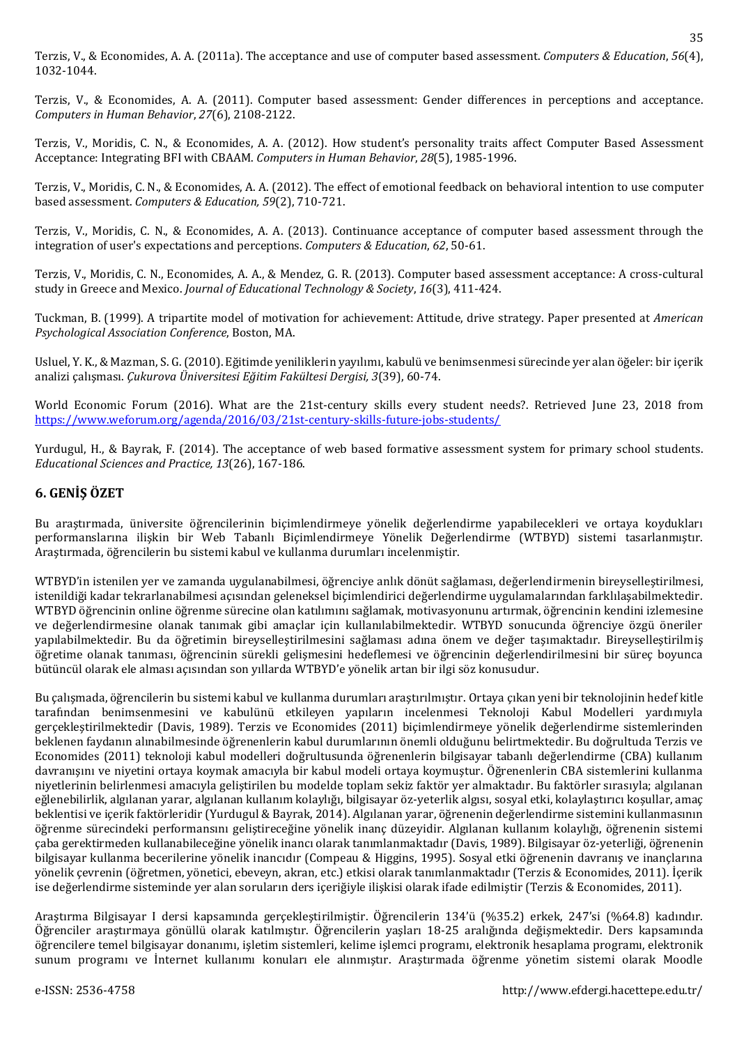Terzis, V., & Economides, A. A. (2011a). The acceptance and use of computer based assessment. *Computers & Education*, *56*(4), 1032-1044.

Terzis, V., & Economides, A. A. (2011). Computer based assessment: Gender differences in perceptions and acceptance. *Computers in Human Behavior*, *27*(6), 2108-2122.

Terzis, V., Moridis, C. N., & Economides, A. A. (2012). How student's personality traits affect Computer Based Assessment Acceptance: Integrating BFI with CBAAM. *Computers in Human Behavior*, *28*(5), 1985-1996.

Terzis, V., Moridis, C. N., & Economides, A. A. (2012). The effect of emotional feedback on behavioral intention to use computer based assessment. *Computers & Education, 59*(2), 710-721.

Terzis, V., Moridis, C. N., & Economides, A. A. (2013). Continuance acceptance of computer based assessment through the integration of user's expectations and perceptions. *Computers & Education*, *62*, 50-61.

Terzis, V., Moridis, C. N., Economides, A. A., & Mendez, G. R. (2013). Computer based assessment acceptance: A cross-cultural study in Greece and Mexico. *Journal of Educational Technology & Society*, *16*(3), 411-424.

Tuckman, B. (1999). A tripartite model of motivation for achievement: Attitude, drive strategy. Paper presented at *American Psychological Association Conference*, Boston, MA.

Usluel, Y. K., & Mazman, S. G. (2010). Eğitimde yeniliklerin yayılımı, kabulü ve benimsenmesi sürecinde yer alan öğeler: bir içerik analizi çalışması. *Çukurova Üniversitesi Eğitim Fakültesi Dergisi, 3*(39), 60-74.

World Economic Forum (2016). What are the 21st-century skills every student needs?. Retrieved June 23, 2018 from <https://www.weforum.org/agenda/2016/03/21st-century-skills-future-jobs-students/>

Yurdugul, H., & Bayrak, F. (2014). The acceptance of web based formative assessment system for primary school students. *Educational Sciences and Practice, 13*(26), 167-186.

### **6. GENİŞ ÖZET**

Bu araştırmada, üniversite öğrencilerinin biçimlendirmeye yönelik değerlendirme yapabilecekleri ve ortaya koydukları performanslarına ilişkin bir Web Tabanlı Biçimlendirmeye Yönelik Değerlendirme (WTBYD) sistemi tasarlanmıştır. Araştırmada, öğrencilerin bu sistemi kabul ve kullanma durumları incelenmiştir.

WTBYD'in istenilen yer ve zamanda uygulanabilmesi, öğrenciye anlık dönüt sağlaması, değerlendirmenin bireyselleştirilmesi, istenildiği kadar tekrarlanabilmesi açısından geleneksel biçimlendirici değerlendirme uygulamalarından farklılaşabilmektedir. WTBYD öğrencinin online öğrenme sürecine olan katılımını sağlamak, motivasyonunu artırmak, öğrencinin kendini izlemesine ve değerlendirmesine olanak tanımak gibi amaçlar için kullanılabilmektedir. WTBYD sonucunda öğrenciye özgü öneriler yapılabilmektedir. Bu da öğretimin bireyselleştirilmesini sağlaması adına önem ve değer taşımaktadır. Bireyselleştirilmiş öğretime olanak tanıması, öğrencinin sürekli gelişmesini hedeflemesi ve öğrencinin değerlendirilmesini bir süreç boyunca bütüncül olarak ele alması açısından son yıllarda WTBYD'e yönelik artan bir ilgi söz konusudur.

Bu çalışmada, öğrencilerin bu sistemi kabul ve kullanma durumları araştırılmıştır. Ortaya çıkan yeni bir teknolojinin hedef kitle tarafından benimsenmesini ve kabulünü etkileyen yapıların incelenmesi Teknoloji Kabul Modelleri yardımıyla gerçekleştirilmektedir (Davis, 1989). Terzis ve Economides (2011) biçimlendirmeye yönelik değerlendirme sistemlerinden beklenen faydanın alınabilmesinde öğrenenlerin kabul durumlarının önemli olduğunu belirtmektedir. Bu doğrultuda Terzis ve Economides (2011) teknoloji kabul modelleri doğrultusunda öğrenenlerin bilgisayar tabanlı değerlendirme (CBA) kullanım davranışını ve niyetini ortaya koymak amacıyla bir kabul modeli ortaya koymuştur. Öğrenenlerin CBA sistemlerini kullanma niyetlerinin belirlenmesi amacıyla geliştirilen bu modelde toplam sekiz faktör yer almaktadır. Bu faktörler sırasıyla; algılanan eğlenebilirlik, algılanan yarar, algılanan kullanım kolaylığı, bilgisayar öz-yeterlik algısı, sosyal etki, kolaylaştırıcı koşullar, amaç beklentisi ve içerik faktörleridir (Yurdugul & Bayrak, 2014). Algılanan yarar, öğrenenin değerlendirme sistemini kullanmasının öğrenme sürecindeki performansını geliştireceğine yönelik inanç düzeyidir. Algılanan kullanım kolaylığı, öğrenenin sistemi çaba gerektirmeden kullanabileceğine yönelik inancı olarak tanımlanmaktadır (Davis, 1989). Bilgisayar öz-yeterliği, öğrenenin bilgisayar kullanma becerilerine yönelik inancıdır (Compeau & Higgins, 1995). Sosyal etki öğrenenin davranış ve inançlarına yönelik çevrenin (öğretmen, yönetici, ebeveyn, akran, etc.) etkisi olarak tanımlanmaktadır (Terzis & Economides, 2011). İçerik ise değerlendirme sisteminde yer alan soruların ders içeriğiyle ilişkisi olarak ifade edilmiştir (Terzis & Economides, 2011).

Araştırma Bilgisayar I dersi kapsamında gerçekleştirilmiştir. Öğrencilerin 134'ü (%35.2) erkek, 247'si (%64.8) kadındır. Öğrenciler araştırmaya gönüllü olarak katılmıştır. Öğrencilerin yaşları 18-25 aralığında değişmektedir. Ders kapsamında öğrencilere temel bilgisayar donanımı, işletim sistemleri, kelime işlemci programı, elektronik hesaplama programı, elektronik sunum programı ve İnternet kullanımı konuları ele alınmıştır. Araştırmada öğrenme yönetim sistemi olarak Moodle